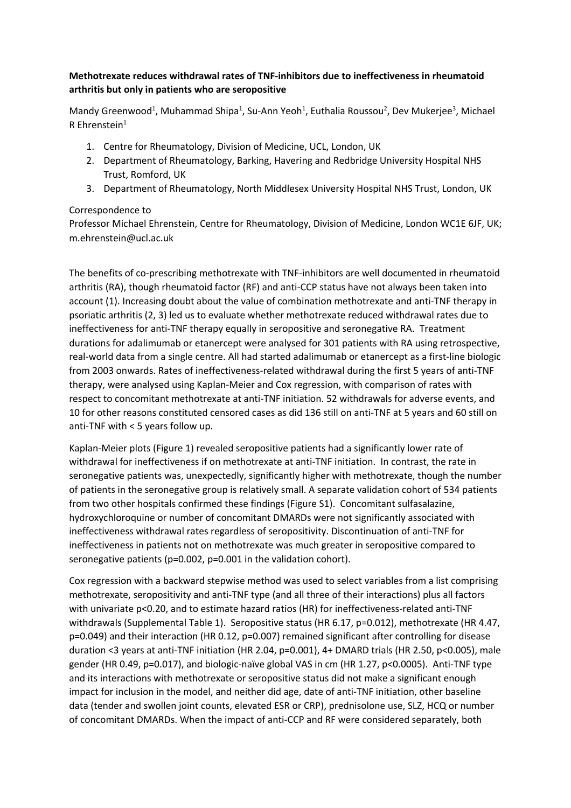## **Methotrexate reduces withdrawal rates of TNF-inhibitors due to ineffectiveness in rheumatoid arthritis but only in patients who are seropositive**

Mandy Greenwood<sup>1</sup>, Muhammad Shipa<sup>1</sup>, Su-Ann Yeoh<sup>1</sup>, Euthalia Roussou<sup>2</sup>, Dev Mukerjee<sup>3</sup>, Michael R Ehrenstein $1$ 

- 1. Centre for Rheumatology, Division of Medicine, UCL, London, UK
- 2. Department of Rheumatology, Barking, Havering and Redbridge University Hospital NHS Trust, Romford, UK
- 3. Department of Rheumatology, North Middlesex University Hospital NHS Trust, London, UK

## Correspondence to

Professor Michael Ehrenstein, Centre for Rheumatology, Division of Medicine, London WC1E 6JF, UK; m.ehrenstein@ucl.ac.uk

The benefits of co-prescribing methotrexate with TNF-inhibitors are well documented in rheumatoid arthritis (RA), though rheumatoid factor (RF) and anti-CCP status have not always been taken into account (1). Increasing doubt about the value of combination methotrexate and anti-TNF therapy in psoriatic arthritis (2, 3) led us to evaluate whether methotrexate reduced withdrawal rates due to ineffectiveness for anti-TNF therapy equally in seropositive and seronegative RA. Treatment durations for adalimumab or etanercept were analysed for 301 patients with RA using retrospective, real-world data from a single centre. All had started adalimumab or etanercept as a first-line biologic from 2003 onwards. Rates of ineffectiveness-related withdrawal during the first 5 years of anti-TNF therapy, were analysed using Kaplan-Meier and Cox regression, with comparison of rates with respect to concomitant methotrexate at anti-TNF initiation. 52 withdrawals for adverse events, and 10 for other reasons constituted censored cases as did 136 still on anti-TNF at 5 years and 60 still on anti-TNF with < 5 years follow up.

Kaplan-Meier plots (Figure 1) revealed seropositive patients had a significantly lower rate of withdrawal for ineffectiveness if on methotrexate at anti-TNF initiation. In contrast, the rate in seronegative patients was, unexpectedly, significantly higher with methotrexate, though the number of patients in the seronegative group is relatively small. A separate validation cohort of 534 patients from two other hospitals confirmed these findings (Figure S1). Concomitant sulfasalazine, hydroxychloroquine or number of concomitant DMARDs were not significantly associated with ineffectiveness withdrawal rates regardless of seropositivity. Discontinuation of anti-TNF for ineffectiveness in patients not on methotrexate was much greater in seropositive compared to seronegative patients (p=0.002, p=0.001 in the validation cohort).

Cox regression with a backward stepwise method was used to select variables from a list comprising methotrexate, seropositivity and anti-TNF type (and all three of their interactions) plus all factors with univariate p<0.20, and to estimate hazard ratios (HR) for ineffectiveness-related anti-TNF withdrawals (Supplemental Table 1). Seropositive status (HR 6.17, p=0.012), methotrexate (HR 4.47, p=0.049) and their interaction (HR 0.12, p=0.007) remained significant after controlling for disease duration <3 years at anti-TNF initiation (HR 2.04, p=0.001), 4+ DMARD trials (HR 2.50, p<0.005), male gender (HR 0.49, p=0.017), and biologic-naïve global VAS in cm (HR 1.27, p<0.0005). Anti-TNF type and its interactions with methotrexate or seropositive status did not make a significant enough impact for inclusion in the model, and neither did age, date of anti-TNF initiation, other baseline data (tender and swollen joint counts, elevated ESR or CRP), prednisolone use, SLZ, HCQ or number of concomitant DMARDs. When the impact of anti-CCP and RF were considered separately, both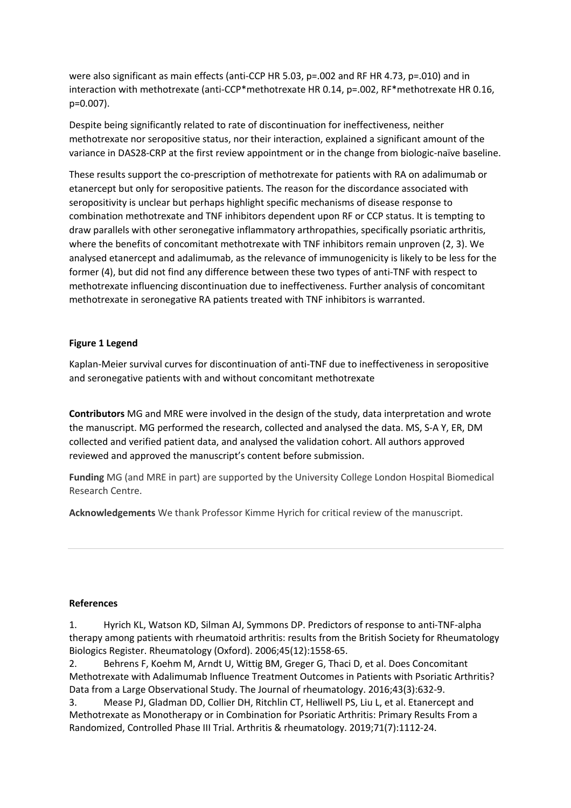were also significant as main effects (anti-CCP HR 5.03, p=.002 and RF HR 4.73, p=.010) and in interaction with methotrexate (anti-CCP\*methotrexate HR 0.14, p=.002, RF\*methotrexate HR 0.16, p=0.007).

Despite being significantly related to rate of discontinuation for ineffectiveness, neither methotrexate nor seropositive status, nor their interaction, explained a significant amount of the variance in DAS28-CRP at the first review appointment or in the change from biologic-naïve baseline.

These results support the co-prescription of methotrexate for patients with RA on adalimumab or etanercept but only for seropositive patients. The reason for the discordance associated with seropositivity is unclear but perhaps highlight specific mechanisms of disease response to combination methotrexate and TNF inhibitors dependent upon RF or CCP status. It is tempting to draw parallels with other seronegative inflammatory arthropathies, specifically psoriatic arthritis, where the benefits of concomitant methotrexate with TNF inhibitors remain unproven (2, 3). We analysed etanercept and adalimumab, as the relevance of immunogenicity is likely to be less for the former (4), but did not find any difference between these two types of anti-TNF with respect to methotrexate influencing discontinuation due to ineffectiveness. Further analysis of concomitant methotrexate in seronegative RA patients treated with TNF inhibitors is warranted.

## **Figure 1 Legend**

Kaplan-Meier survival curves for discontinuation of anti-TNF due to ineffectiveness in seropositive and seronegative patients with and without concomitant methotrexate

**Contributors** MG and MRE were involved in the design of the study, data interpretation and wrote the manuscript. MG performed the research, collected and analysed the data. MS, S-A Y, ER, DM collected and verified patient data, and analysed the validation cohort. All authors approved reviewed and approved the manuscript's content before submission.

**Funding** MG (and MRE in part) are supported by the University College London Hospital Biomedical Research Centre.

**Acknowledgements** We thank Professor Kimme Hyrich for critical review of the manuscript.

## **References**

1. Hyrich KL, Watson KD, Silman AJ, Symmons DP. Predictors of response to anti-TNF-alpha therapy among patients with rheumatoid arthritis: results from the British Society for Rheumatology Biologics Register. Rheumatology (Oxford). 2006;45(12):1558-65.

2. Behrens F, Koehm M, Arndt U, Wittig BM, Greger G, Thaci D, et al. Does Concomitant Methotrexate with Adalimumab Influence Treatment Outcomes in Patients with Psoriatic Arthritis? Data from a Large Observational Study. The Journal of rheumatology. 2016;43(3):632-9.

3. Mease PJ, Gladman DD, Collier DH, Ritchlin CT, Helliwell PS, Liu L, et al. Etanercept and Methotrexate as Monotherapy or in Combination for Psoriatic Arthritis: Primary Results From a Randomized, Controlled Phase III Trial. Arthritis & rheumatology. 2019;71(7):1112-24.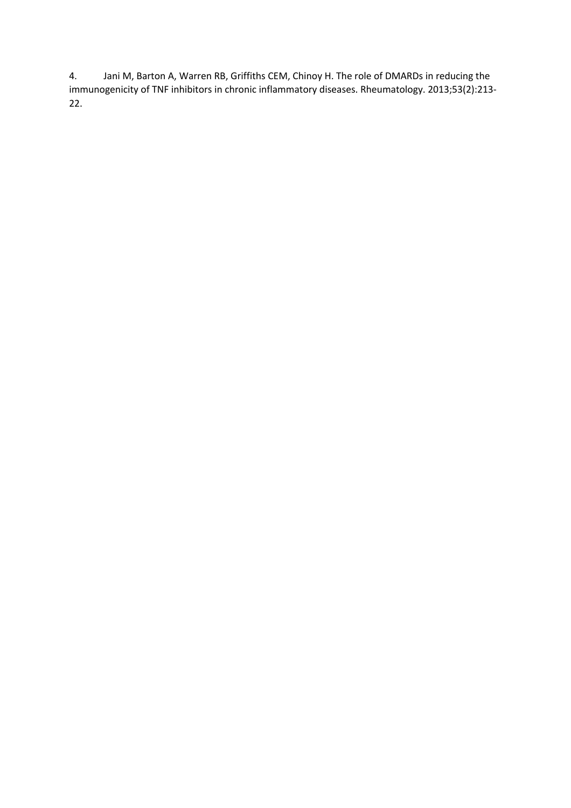4. Jani M, Barton A, Warren RB, Griffiths CEM, Chinoy H. The role of DMARDs in reducing the immunogenicity of TNF inhibitors in chronic inflammatory diseases. Rheumatology. 2013;53(2):213- 22.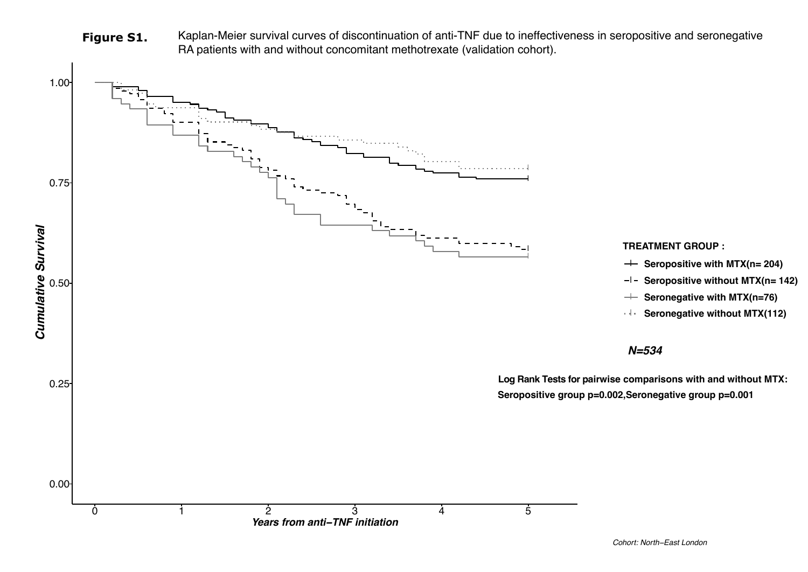Figure S1. Kaplan-Meier survival curves of discontinuation of anti-TNF due to ineffectiveness in seropositive and seronegative RA patients with and without concomitant methotrexate (validation cohort).